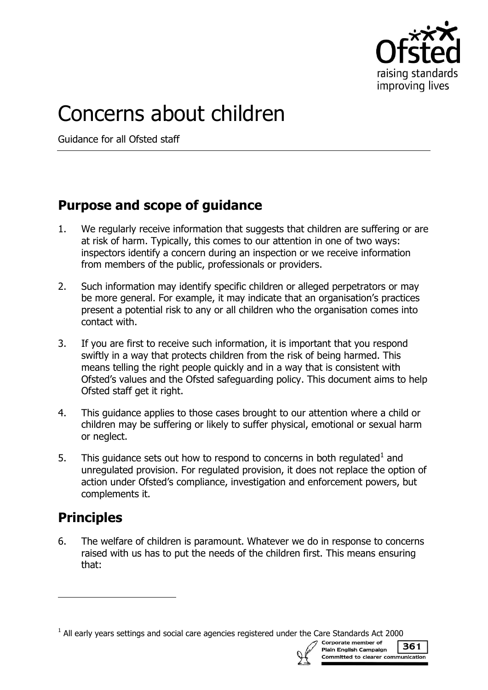

# Concerns about children

Guidance for all Ofsted staff

## **Purpose and scope of guidance**

- 1. We regularly receive information that suggests that children are suffering or are at risk of harm. Typically, this comes to our attention in one of two ways: inspectors identify a concern during an inspection or we receive information from members of the public, professionals or providers.
- 2. Such information may identify specific children or alleged perpetrators or may be more general. For example, it may indicate that an organisation's practices present a potential risk to any or all children who the organisation comes into contact with.
- 3. If you are first to receive such information, it is important that you respond swiftly in a way that protects children from the risk of being harmed. This means telling the right people quickly and in a way that is consistent with Ofsted's values and the Ofsted safeguarding policy. This document aims to help Ofsted staff get it right.
- 4. This guidance applies to those cases brought to our attention where a child or children may be suffering or likely to suffer physical, emotional or sexual harm or neglect.
- 5. This guidance sets out how to respond to concerns in both regulated $<sup>1</sup>$  and</sup> unregulated provision. For regulated provision, it does not replace the option of action under Ofsted's compliance, investigation and enforcement powers, but complements it.

# **Principles**

j

6. The welfare of children is paramount. Whatever we do in response to concerns raised with us has to put the needs of the children first. This means ensuring that:

 $<sup>1</sup>$  All early years settings and social care agencies registered under the Care Standards Act 2000</sup>



361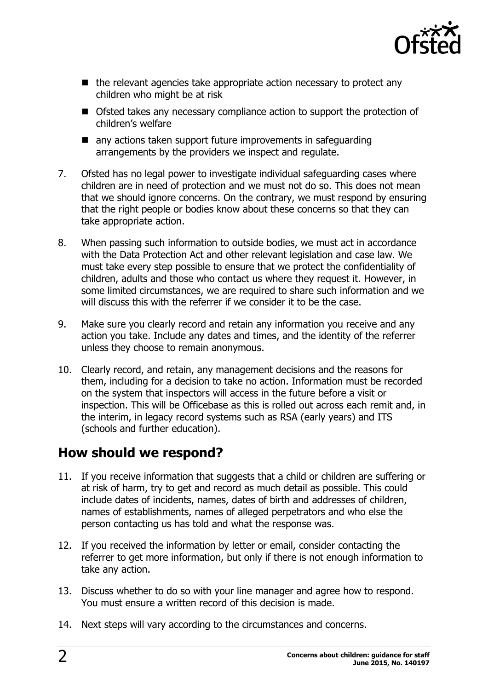

- $\blacksquare$  the relevant agencies take appropriate action necessary to protect any children who might be at risk
- Ofsted takes any necessary compliance action to support the protection of children's welfare
- **n** any actions taken support future improvements in safeguarding arrangements by the providers we inspect and regulate.
- 7. Ofsted has no legal power to investigate individual safeguarding cases where children are in need of protection and we must not do so. This does not mean that we should ignore concerns. On the contrary, we must respond by ensuring that the right people or bodies know about these concerns so that they can take appropriate action.
- 8. When passing such information to outside bodies, we must act in accordance with the Data Protection Act and other relevant legislation and case law. We must take every step possible to ensure that we protect the confidentiality of children, adults and those who contact us where they request it. However, in some limited circumstances, we are required to share such information and we will discuss this with the referrer if we consider it to be the case.
- 9. Make sure you clearly record and retain any information you receive and any action you take. Include any dates and times, and the identity of the referrer unless they choose to remain anonymous.
- 10. Clearly record, and retain, any management decisions and the reasons for them, including for a decision to take no action. Information must be recorded on the system that inspectors will access in the future before a visit or inspection. This will be Officebase as this is rolled out across each remit and, in the interim, in legacy record systems such as RSA (early years) and ITS (schools and further education).

#### **How should we respond?**

- 11. If you receive information that suggests that a child or children are suffering or at risk of harm, try to get and record as much detail as possible. This could include dates of incidents, names, dates of birth and addresses of children, names of establishments, names of alleged perpetrators and who else the person contacting us has told and what the response was.
- 12. If you received the information by letter or email, consider contacting the referrer to get more information, but only if there is not enough information to take any action.
- 13. Discuss whether to do so with your line manager and agree how to respond. You must ensure a written record of this decision is made.
- 14. Next steps will vary according to the circumstances and concerns.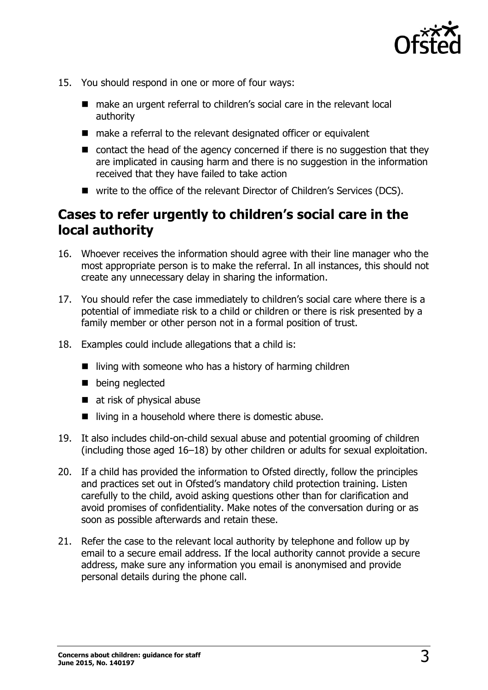

- 15. You should respond in one or more of four ways:
	- make an urgent referral to children's social care in the relevant local authority
	- make a referral to the relevant designated officer or equivalent
	- contact the head of the agency concerned if there is no suggestion that they are implicated in causing harm and there is no suggestion in the information received that they have failed to take action
	- write to the office of the relevant Director of Children's Services (DCS).

#### **Cases to refer urgently to children's social care in the local authority**

- 16. Whoever receives the information should agree with their line manager who the most appropriate person is to make the referral. In all instances, this should not create any unnecessary delay in sharing the information.
- 17. You should refer the case immediately to children's social care where there is a potential of immediate risk to a child or children or there is risk presented by a family member or other person not in a formal position of trust.
- 18. Examples could include allegations that a child is:
	- $\blacksquare$  living with someone who has a history of harming children
	- **being neglected**
	- at risk of physical abuse
	- $\blacksquare$  living in a household where there is domestic abuse.
- 19. It also includes child-on-child sexual abuse and potential grooming of children (including those aged 16–18) by other children or adults for sexual exploitation.
- 20. If a child has provided the information to Ofsted directly, follow the principles and practices set out in Ofsted's mandatory child protection training. Listen carefully to the child, avoid asking questions other than for clarification and avoid promises of confidentiality. Make notes of the conversation during or as soon as possible afterwards and retain these.
- 21. Refer the case to the relevant local authority by telephone and follow up by email to a secure email address. If the local authority cannot provide a secure address, make sure any information you email is anonymised and provide personal details during the phone call.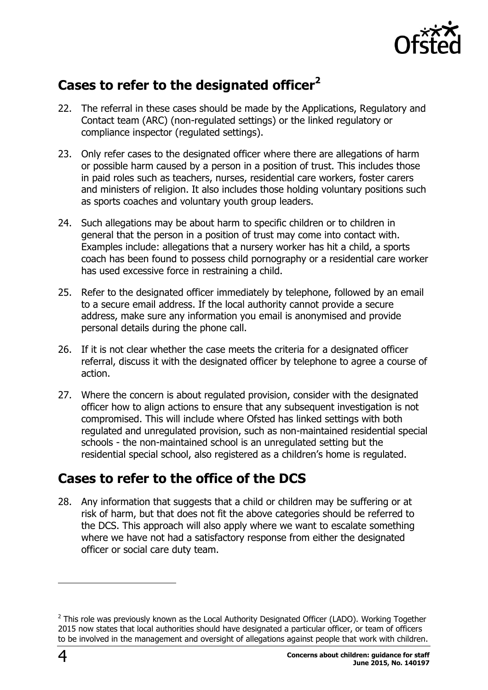

# **Cases to refer to the designated officer<sup>2</sup>**

- 22. The referral in these cases should be made by the Applications, Regulatory and Contact team (ARC) (non-regulated settings) or the linked regulatory or compliance inspector (regulated settings).
- 23. Only refer cases to the designated officer where there are allegations of harm or possible harm caused by a person in a position of trust. This includes those in paid roles such as teachers, nurses, residential care workers, foster carers and ministers of religion. It also includes those holding voluntary positions such as sports coaches and voluntary youth group leaders.
- 24. Such allegations may be about harm to specific children or to children in general that the person in a position of trust may come into contact with. Examples include: allegations that a nursery worker has hit a child, a sports coach has been found to possess child pornography or a residential care worker has used excessive force in restraining a child.
- 25. Refer to the designated officer immediately by telephone, followed by an email to a secure email address. If the local authority cannot provide a secure address, make sure any information you email is anonymised and provide personal details during the phone call.
- 26. If it is not clear whether the case meets the criteria for a designated officer referral, discuss it with the designated officer by telephone to agree a course of action.
- 27. Where the concern is about regulated provision, consider with the designated officer how to align actions to ensure that any subsequent investigation is not compromised. This will include where Ofsted has linked settings with both regulated and unregulated provision, such as non-maintained residential special schools - the non-maintained school is an unregulated setting but the residential special school, also registered as a children's home is regulated.

# **Cases to refer to the office of the DCS**

28. Any information that suggests that a child or children may be suffering or at risk of harm, but that does not fit the above categories should be referred to the DCS. This approach will also apply where we want to escalate something where we have not had a satisfactory response from either the designated officer or social care duty team.

 $\overline{a}$ 

 $^2$  This role was previously known as the Local Authority Designated Officer (LADO). Working Together 2015 now states that local authorities should have designated a particular officer, or team of officers to be involved in the management and oversight of allegations against people that work with children.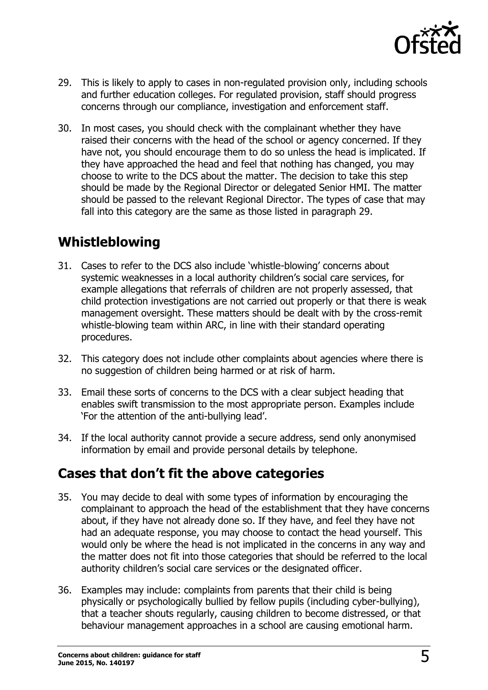

- 29. This is likely to apply to cases in non-regulated provision only, including schools and further education colleges. For regulated provision, staff should progress concerns through our compliance, investigation and enforcement staff.
- 30. In most cases, you should check with the complainant whether they have raised their concerns with the head of the school or agency concerned. If they have not, you should encourage them to do so unless the head is implicated. If they have approached the head and feel that nothing has changed, you may choose to write to the DCS about the matter. The decision to take this step should be made by the Regional Director or delegated Senior HMI. The matter should be passed to the relevant Regional Director. The types of case that may fall into this category are the same as those listed in paragraph 29.

## **Whistleblowing**

- 31. Cases to refer to the DCS also include 'whistle-blowing' concerns about systemic weaknesses in a local authority children's social care services, for example allegations that referrals of children are not properly assessed, that child protection investigations are not carried out properly or that there is weak management oversight. These matters should be dealt with by the cross-remit whistle-blowing team within ARC, in line with their standard operating procedures.
- 32. This category does not include other complaints about agencies where there is no suggestion of children being harmed or at risk of harm.
- 33. Email these sorts of concerns to the DCS with a clear subject heading that enables swift transmission to the most appropriate person. Examples include 'For the attention of the anti-bullying lead'.
- 34. If the local authority cannot provide a secure address, send only anonymised information by email and provide personal details by telephone.

## **Cases that don't fit the above categories**

- 35. You may decide to deal with some types of information by encouraging the complainant to approach the head of the establishment that they have concerns about, if they have not already done so. If they have, and feel they have not had an adequate response, you may choose to contact the head yourself. This would only be where the head is not implicated in the concerns in any way and the matter does not fit into those categories that should be referred to the local authority children's social care services or the designated officer.
- 36. Examples may include: complaints from parents that their child is being physically or psychologically bullied by fellow pupils (including cyber-bullying), that a teacher shouts regularly, causing children to become distressed, or that behaviour management approaches in a school are causing emotional harm.